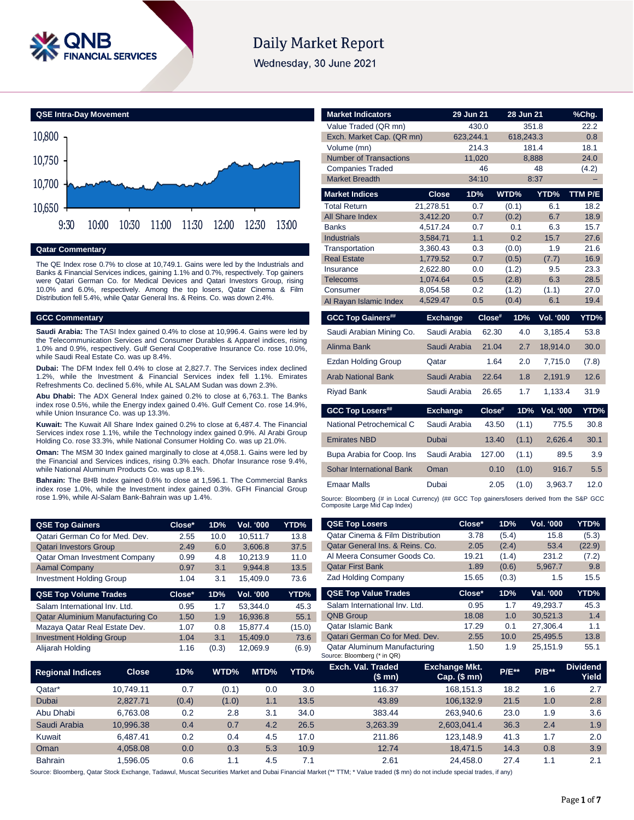

# **Daily Market Report**

Wednesday, 30 June 2021



#### **Qatar Commentary**

The QE Index rose 0.7% to close at 10,749.1. Gains were led by the Industrials and Banks & Financial Services indices, gaining 1.1% and 0.7%, respectively. Top gainers were Qatari German Co. for Medical Devices and Qatari Investors Group, rising 10.0% and 6.0%, respectively. Among the top losers, Qatar Cinema & Film Distribution fell 5.4%, while Qatar General Ins. & Reins. Co. was down 2.4%.

#### **GCC Commentary**

**Saudi Arabia:** The TASI Index gained 0.4% to close at 10,996.4. Gains were led by the Telecommunication Services and Consumer Durables & Apparel indices, rising 1.0% and 0.9%, respectively. Gulf General Cooperative Insurance Co. rose 10.0%, while Saudi Real Estate Co. was up 8.4%.

**Dubai:** The DFM Index fell 0.4% to close at 2,827.7. The Services index declined 1.2%, while the Investment & Financial Services index fell 1.1%. Emirates Refreshments Co. declined 5.6%, while AL SALAM Sudan was down 2.3%.

**Abu Dhabi:** The ADX General Index gained 0.2% to close at 6,763.1. The Banks index rose 0.5%, while the Energy index gained 0.4%. Gulf Cement Co. rose 14.9%, while Union Insurance Co. was up 13.3%.

**Kuwait:** The Kuwait All Share Index gained 0.2% to close at 6,487.4. The Financial Services index rose 1.1%, while the Technology index gained 0.9%. Al Arabi Group Holding Co. rose 33.3%, while National Consumer Holding Co. was up 21.0%.

**Oman:** The MSM 30 Index gained marginally to close at 4,058.1. Gains were led by the Financial and Services indices, rising 0.3% each. Dhofar Insurance rose 9.4%, while National Aluminum Products Co. was up 8.1%.

**Bahrain:** The BHB Index gained 0.6% to close at 1,596.1. The Commercial Banks index rose 1.0%, while the Investment index gained 0.3%. GFH Financial Group rose 1.9%, while Al-Salam Bank-Bahrain was up 1.4%.

| <b>QSE Top Gainers</b>          | Close* | 1D%  | Vol. '000 | YTD% |
|---------------------------------|--------|------|-----------|------|
| Qatari German Co for Med. Dev.  | 2.55   | 10.0 | 10,511.7  | 13.8 |
| <b>Qatari Investors Group</b>   | 2.49   | 6.0  | 3.606.8   | 37.5 |
| Qatar Oman Investment Company   | 0.99   | 4.8  | 10.213.9  | 11.0 |
| <b>Aamal Company</b>            | 0.97   | 3.1  | 9.944.8   | 13.5 |
| <b>Investment Holding Group</b> | 1.04   | 3.1  | 15.409.0  | 73.6 |
| <b>QSE Top Volume Trades</b>    | Close* | 1D%  | Vol. '000 | YTD% |

| 0.95 | 1.7   | 53.344.0 | 45.3   |
|------|-------|----------|--------|
| 1.50 | 1.9   | 16.936.8 | 55.1   |
| 1.07 | 0.8   | 15.877.4 | (15.0) |
| 1.04 | 3.1   | 15.409.0 | 73.6   |
| 1.16 | (0.3) | 12.069.9 | (6.9)  |
|      |       |          |        |

| <b>Market Indicators</b>      |                      | 29 Jun 21  | 28 Jun 21      |                  | %Chg.        |
|-------------------------------|----------------------|------------|----------------|------------------|--------------|
| Value Traded (QR mn)          |                      | 430.0      | 351.8          |                  | 22.2         |
| Exch. Market Cap. (QR mn)     |                      | 623,244.1  | 618,243.3      |                  | 0.8          |
| Volume (mn)                   |                      | 214.3      | 181.4          |                  | 18.1         |
| <b>Number of Transactions</b> |                      | 11,020     | 8,888          |                  | 24.0         |
| <b>Companies Traded</b>       |                      | 46         |                | 48               | (4.2)        |
| <b>Market Breadth</b>         |                      | 34:10      | 8:37           |                  | -            |
| <b>Market Indices</b>         | Close                | 1D%        | WTD%           | YTD%             | TTM P/E      |
| <b>Total Return</b>           | 21,278.51            | 0.7        | (0.1)          | 6.1              | 18.2         |
| <b>All Share Index</b>        | 3.412.20             | 0.7        | (0.2)          | 6.7              | 18.9         |
| <b>Banks</b>                  | 4.517.24             | 0.7        | 0.1            | 6.3              | 15.7         |
| <b>Industrials</b>            | 3.584.71             | 1.1        | 0.2            | 15.7             | 27.6         |
| Transportation                | 3,360.43             | 0.3        | (0.0)          | 1.9              | 21.6         |
| <b>Real Estate</b>            | 1,779.52             | 0.7        | (0.5)          | (7.7)            | 16.9         |
| Insurance<br>Telecoms         | 2.622.80<br>1,074.64 | 0.0<br>0.5 | (1.2)<br>(2.8) | 9.5<br>6.3       | 23.3<br>28.5 |
| Consumer                      | 8,054.58             | 0.2        | (1.2)          | (1.1)            | 27.0         |
| Al Rayan Islamic Index        | 4,529.47             | 0.5        | (0.4)          | 6.1              | 19.4         |
|                               |                      |            |                |                  |              |
| <b>GCC Top Gainers##</b>      | <b>Exchange</b>      | Close#     | 1D%            | <b>Vol. '000</b> | YTD%         |
| Saudi Arabian Mining Co.      | Saudi Arabia         | 62.30      | 4.0            | 3,185.4          | 53.8         |
| Alinma Bank                   | Saudi Arabia         | 21.04      | 2.7            | 18,914.0         | 30.0         |
| <b>Ezdan Holding Group</b>    | Qatar                |            |                |                  |              |
|                               |                      | 1.64       | 2.0            | 7,715.0          | (7.8)        |
| <b>Arab National Bank</b>     | Saudi Arabia         | 22.64      | 1.8            | 2,191.9          | 12.6         |
| <b>Riyad Bank</b>             | Saudi Arabia         | 26.65      | 1.7            | 1,133.4          | 31.9         |
| <b>GCC Top Losers##</b>       | <b>Exchange</b>      | Close#     | 1D%            | <b>Vol. '000</b> | YTD%         |
| National Petrochemical C      | Saudi Arabia         | 43.50      | (1.1)          | 775.5            | 30.8         |
| <b>Emirates NBD</b>           | Dubai                | 13.40      | (1.1)          | 2,626.4          | 30.1         |
| Bupa Arabia for Coop. Ins     | Saudi Arabia         | 127.00     | (1.1)          | 89.5             | 3.9          |
| Sohar International Bank      | Oman                 | 0.10       | (1.0)          | 916.7            | 5.5          |
| <b>Emaar Malls</b>            | Dubai                | 2.05       | (1.0)          | 3,963.7          | 12.0         |

| <b>QSE Top Losers</b>                                              | Close*       | 1D%   | <b>Vol. '000</b> | YTD%     |
|--------------------------------------------------------------------|--------------|-------|------------------|----------|
| <b>Oatar Cinema &amp; Film Distribution</b>                        | 3.78         | (5.4) | 15.8             | (5.3)    |
| Qatar General Ins. & Reins. Co.                                    | 2.05         | (2.4) | 53.4             | (22.9)   |
| Al Meera Consumer Goods Co.                                        | 19.21        | (1.4) | 231.2            | (7.2)    |
| <b>Qatar First Bank</b>                                            | 1.89         | (0.6) | 5,967.7          | 9.8      |
| <b>Zad Holding Company</b>                                         | 15.65        | (0.3) | 1.5              | 15.5     |
| <b>QSE Top Value Trades</b>                                        | Close*       | 1D%   | Val. '000        | YTD%     |
| Salam International Inv. Ltd.                                      | 0.95         | 1.7   | 49.293.7         | 45.3     |
| <b>QNB Group</b>                                                   | 18.08        | 1.0   | 30.521.3         | 1.4      |
| Qatar Islamic Bank                                                 | 17.29        | 0.1   | 27.306.4         | 1.1      |
| Qatari German Co for Med. Dev.                                     | 2.55         | 10.0  | 25.495.5         | 13.8     |
| <b>Qatar Aluminum Manufacturing</b><br>Source: Bloomberg (* in QR) | 1.50         | 1.9   | 25.151.9         | 55.1     |
| <b>Frch Val Traded</b>                                             | Exchange Mkt |       |                  | Dividend |

| <b>Regional Indices</b> | <b>Close</b> | 1D%   | WTD%  | MTD% | YTD% | Exch. Val. Traded<br>(\$ mn) | Exchange Mkt.<br>Cap. $($mn)$ | <b>P/E**</b> | $P/B**$ | <b>Dividend</b><br>Yield |
|-------------------------|--------------|-------|-------|------|------|------------------------------|-------------------------------|--------------|---------|--------------------------|
| Qatar*                  | 10.749.11    | 0.7   | (0.1) | 0.0  | 3.0  | 116.37                       | 168.151.3                     | 18.2         | 1.6     | 2.7                      |
| Dubai                   | 2.827.71     | (0.4) | (1.0) | 1.1  | 13.5 | 43.89                        | 106.132.9                     | 21.5         | 1.0     | 2.8                      |
| Abu Dhabi               | 6.763.08     | 0.2   | 2.8   | 3.1  | 34.0 | 383.44                       | 263.940.6                     | 23.0         | 1.9     | 3.6                      |
| Saudi Arabia            | 10.996.38    | 0.4   | 0.7   | 4.2  | 26.5 | 3.263.39                     | 2.603.041.4                   | 36.3         | 2.4     | 1.9                      |
| Kuwait                  | 6.487.41     | 0.2   | 0.4   | 4.5  | 17.0 | 211.86                       | 123.148.9                     | 41.3         | 1.7     | 2.0                      |
| Oman                    | 4.058.08     | 0.0   | 0.3   | 5.3  | 10.9 | 12.74                        | 18.471.5                      | 14.3         | 0.8     | 3.9                      |
| <b>Bahrain</b>          | .596.05      | 0.6   | 1.1   | 4.5  | 7.1  | 2.61                         | 24.458.0                      | 27.4         | 1.1     | 2.1                      |

Source: Bloomberg, Qatar Stock Exchange, Tadawul, Muscat Securities Market and Dubai Financial Market (\*\* TTM; \* Value traded (\$ mn) do not include special trades, if any)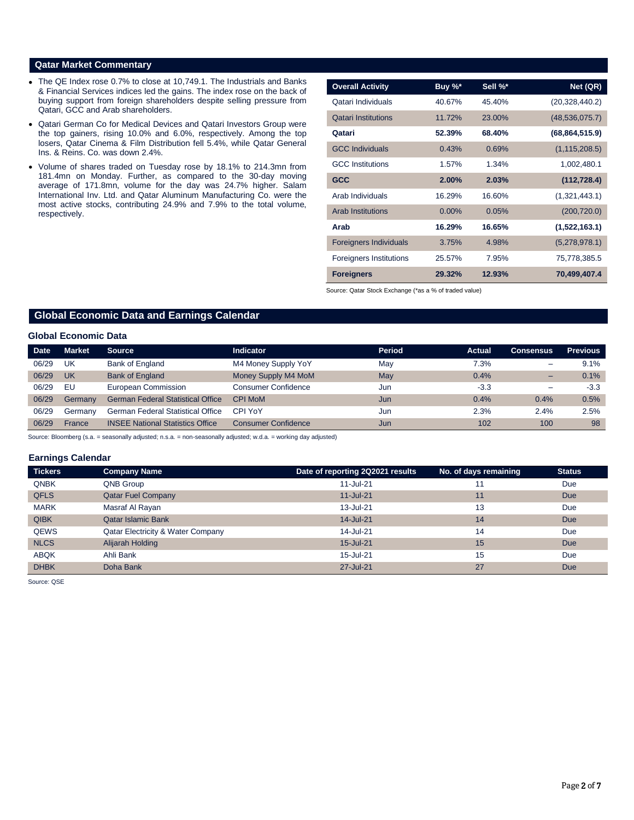### **Qatar Market Commentary**

- The QE Index rose 0.7% to close at 10,749.1. The Industrials and Banks & Financial Services indices led the gains. The index rose on the back of buying support from foreign shareholders despite selling pressure from Qatari, GCC and Arab shareholders.
- Qatari German Co for Medical Devices and Qatari Investors Group were the top gainers, rising 10.0% and 6.0%, respectively. Among the top losers, Qatar Cinema & Film Distribution fell 5.4%, while Qatar General Ins. & Reins. Co. was down 2.4%.
- Volume of shares traded on Tuesday rose by 18.1% to 214.3mn from 181.4mn on Monday. Further, as compared to the 30-day moving average of 171.8mn, volume for the day was 24.7% higher. Salam International Inv. Ltd. and Qatar Aluminum Manufacturing Co. were the most active stocks, contributing 24.9% and 7.9% to the total volume, respectively.

| <b>Overall Activity</b>        | Buy %*   | Sell %* | Net (QR)         |
|--------------------------------|----------|---------|------------------|
| Qatari Individuals             | 40.67%   | 45.40%  | (20, 328, 440.2) |
| <b>Qatari Institutions</b>     | 11.72%   | 23.00%  | (48, 536, 075.7) |
| Qatari                         | 52.39%   | 68.40%  | (68, 864, 515.9) |
| <b>GCC Individuals</b>         | 0.43%    | 0.69%   | (1, 115, 208.5)  |
| <b>GCC</b> Institutions        | 1.57%    | 1.34%   | 1,002,480.1      |
| <b>GCC</b>                     | 2.00%    | 2.03%   | (112, 728.4)     |
| Arab Individuals               | 16.29%   | 16.60%  | (1,321,443.1)    |
| <b>Arab Institutions</b>       | $0.00\%$ | 0.05%   | (200, 720.0)     |
| Arab                           | 16.29%   | 16.65%  | (1,522,163.1)    |
| <b>Foreigners Individuals</b>  | 3.75%    | 4.98%   | (5,278,978.1)    |
| <b>Foreigners Institutions</b> | 25.57%   | 7.95%   | 75,778,385.5     |
| <b>Foreigners</b>              | 29.32%   | 12.93%  | 70,499,407.4     |

Source: Qatar Stock Exchange (\*as a % of traded value)

# **Global Economic Data and Earnings Calendar**

### **Global Economic Data**

| Date  | <b>Market</b> | Source.                                  | Indicator                  | <b>Period</b> | Actual | <b>Consensus</b>         | <b>Previous</b> |
|-------|---------------|------------------------------------------|----------------------------|---------------|--------|--------------------------|-----------------|
| 06/29 | UK            | Bank of England                          | M4 Money Supply YoY        | May           | 7.3%   | $\overline{\phantom{a}}$ | 9.1%            |
| 06/29 | UK            | <b>Bank of England</b>                   | Money Supply M4 MoM        | May           | 0.4%   | $\overline{\phantom{0}}$ | 0.1%            |
| 06/29 | EU            | European Commission                      | Consumer Confidence        | Jun           | $-3.3$ | $\overline{\phantom{0}}$ | $-3.3$          |
| 06/29 | Germany       | <b>German Federal Statistical Office</b> | <b>CPI MoM</b>             | Jun           | 0.4%   | 0.4%                     | 0.5%            |
| 06/29 | Germany       | <b>German Federal Statistical Office</b> | CPI YoY                    | Jun           | 2.3%   | 2.4%                     | 2.5%            |
| 06/29 | France        | <b>INSEE National Statistics Office</b>  | <b>Consumer Confidence</b> | Jun           | 102    | 100                      | 98              |

Source: Bloomberg (s.a. = seasonally adjusted; n.s.a. = non-seasonally adjusted; w.d.a. = working day adjusted)

### **Earnings Calendar**

| <b>Tickers</b> | <b>Company Name</b>                          | Date of reporting 2Q2021 results | No. of days remaining | <b>Status</b> |
|----------------|----------------------------------------------|----------------------------------|-----------------------|---------------|
| <b>QNBK</b>    | QNB Group                                    | 11-Jul-21                        | 11                    | Due           |
| <b>QFLS</b>    | <b>Qatar Fuel Company</b>                    | $11 -$ Jul-21                    | 11                    | <b>Due</b>    |
| <b>MARK</b>    | Masraf Al Rayan                              | 13-Jul-21                        | 13                    | Due           |
| <b>QIBK</b>    | <b>Qatar Islamic Bank</b>                    | $14 -$ Jul-21                    | 14                    | <b>Due</b>    |
| <b>QEWS</b>    | <b>Qatar Electricity &amp; Water Company</b> | 14-Jul-21                        | 14                    | Due           |
| <b>NLCS</b>    | Alijarah Holding                             | 15-Jul-21                        | 15                    | <b>Due</b>    |
| <b>ABQK</b>    | Ahli Bank                                    | 15-Jul-21                        | 15                    | Due           |
| <b>DHBK</b>    | Doha Bank                                    | 27-Jul-21                        | 27                    | <b>Due</b>    |

Source: QSE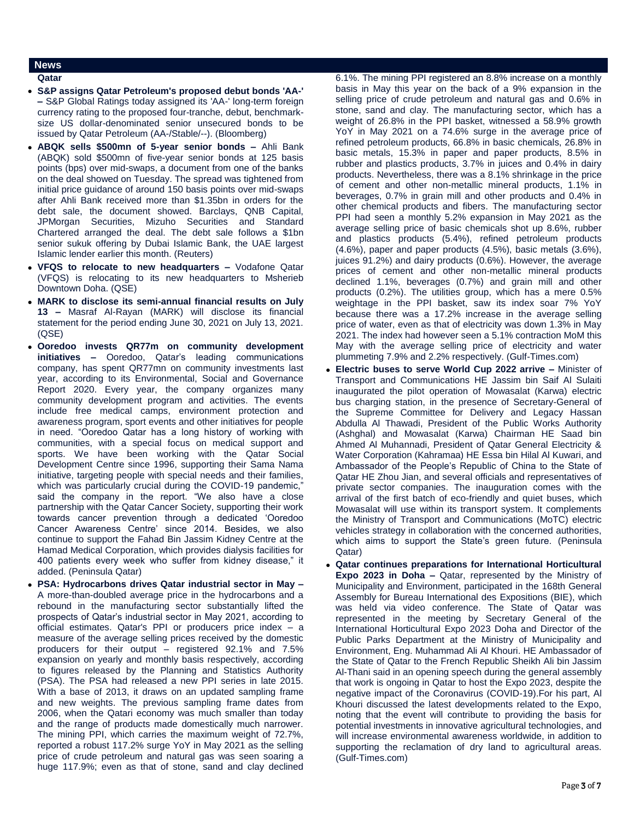## **News**

#### **Qatar**

- **S&P assigns Qatar Petroleum's proposed debut bonds 'AA-' –** S&P Global Ratings today assigned its 'AA-' long-term foreign currency rating to the proposed four-tranche, debut, benchmarksize US dollar-denominated senior unsecured bonds to be issued by Qatar Petroleum (AA-/Stable/--). (Bloomberg)
- **ABQK sells \$500mn of 5-year senior bonds –** Ahli Bank (ABQK) sold \$500mn of five-year senior bonds at 125 basis points (bps) over mid-swaps, a document from one of the banks on the deal showed on Tuesday. The spread was tightened from initial price guidance of around 150 basis points over mid-swaps after Ahli Bank received more than \$1.35bn in orders for the debt sale, the document showed. Barclays, QNB Capital, JPMorgan Securities, Mizuho Securities and Standard Chartered arranged the deal. The debt sale follows a \$1bn senior sukuk offering by Dubai Islamic Bank, the UAE largest Islamic lender earlier this month. (Reuters)
- **VFQS to relocate to new headquarters –** Vodafone Qatar (VFQS) is relocating to its new headquarters to Msherieb Downtown Doha. (QSE)
- **MARK to disclose its semi-annual financial results on July 13 –** Masraf Al-Rayan (MARK) will disclose its financial statement for the period ending June 30, 2021 on July 13, 2021. (QSE)
- **Ooredoo invests QR77m on community development initiatives –** Ooredoo, Qatar's leading communications company, has spent QR77mn on community investments last year, according to its Environmental, Social and Governance Report 2020. Every year, the company organizes many community development program and activities. The events include free medical camps, environment protection and awareness program, sport events and other initiatives for people in need. "Ooredoo Qatar has a long history of working with communities, with a special focus on medical support and sports. We have been working with the Qatar Social Development Centre since 1996, supporting their Sama Nama initiative, targeting people with special needs and their families, which was particularly crucial during the COVID-19 pandemic," said the company in the report. "We also have a close partnership with the Qatar Cancer Society, supporting their work towards cancer prevention through a dedicated 'Ooredoo Cancer Awareness Centre' since 2014. Besides, we also continue to support the Fahad Bin Jassim Kidney Centre at the Hamad Medical Corporation, which provides dialysis facilities for 400 patients every week who suffer from kidney disease," it added. (Peninsula Qatar)
- **PSA: Hydrocarbons drives Qatar industrial sector in May –** A more-than-doubled average price in the hydrocarbons and a rebound in the manufacturing sector substantially lifted the prospects of Qatar's industrial sector in May 2021, according to official estimates. Qatar's PPI or producers price index – a measure of the average selling prices received by the domestic producers for their output – registered 92.1% and 7.5% expansion on yearly and monthly basis respectively, according to figures released by the Planning and Statistics Authority (PSA). The PSA had released a new PPI series in late 2015. With a base of 2013, it draws on an updated sampling frame and new weights. The previous sampling frame dates from 2006, when the Qatari economy was much smaller than today and the range of products made domestically much narrower. The mining PPI, which carries the maximum weight of 72.7%, reported a robust 117.2% surge YoY in May 2021 as the selling price of crude petroleum and natural gas was seen soaring a huge 117.9%; even as that of stone, sand and clay declined

6.1%. The mining PPI registered an 8.8% increase on a monthly basis in May this year on the back of a 9% expansion in the selling price of crude petroleum and natural gas and 0.6% in stone, sand and clay. The manufacturing sector, which has a weight of 26.8% in the PPI basket, witnessed a 58.9% growth YoY in May 2021 on a 74.6% surge in the average price of refined petroleum products, 66.8% in basic chemicals, 26.8% in basic metals, 15.3% in paper and paper products, 8.5% in rubber and plastics products, 3.7% in juices and 0.4% in dairy products. Nevertheless, there was a 8.1% shrinkage in the price of cement and other non-metallic mineral products, 1.1% in beverages, 0.7% in grain mill and other products and 0.4% in other chemical products and fibers. The manufacturing sector PPI had seen a monthly 5.2% expansion in May 2021 as the average selling price of basic chemicals shot up 8.6%, rubber and plastics products (5.4%), refined petroleum products (4.6%), paper and paper products (4.5%), basic metals (3.6%), juices 91.2%) and dairy products (0.6%). However, the average prices of cement and other non-metallic mineral products declined 1.1%, beverages (0.7%) and grain mill and other products (0.2%). The utilities group, which has a mere 0.5% weightage in the PPI basket, saw its index soar 7% YoY because there was a 17.2% increase in the average selling price of water, even as that of electricity was down 1.3% in May 2021. The index had however seen a 5.1% contraction MoM this May with the average selling price of electricity and water plummeting 7.9% and 2.2% respectively. (Gulf-Times.com)

- **Electric buses to serve World Cup 2022 arrive –** Minister of Transport and Communications HE Jassim bin Saif Al Sulaiti inaugurated the pilot operation of Mowasalat (Karwa) electric bus charging station, in the presence of Secretary-General of the Supreme Committee for Delivery and Legacy Hassan Abdulla Al Thawadi, President of the Public Works Authority (Ashghal) and Mowasalat (Karwa) Chairman HE Saad bin Ahmed Al Muhannadi, President of Qatar General Electricity & Water Corporation (Kahramaa) HE Essa bin Hilal Al Kuwari, and Ambassador of the People's Republic of China to the State of Qatar HE Zhou Jian, and several officials and representatives of private sector companies. The inauguration comes with the arrival of the first batch of eco-friendly and quiet buses, which Mowasalat will use within its transport system. It complements the Ministry of Transport and Communications (MoTC) electric vehicles strategy in collaboration with the concerned authorities, which aims to support the State's green future. (Peninsula Qatar)
- **Qatar continues preparations for International Horticultural Expo 2023 in Doha –** Qatar, represented by the Ministry of Municipality and Environment, participated in the 168th General Assembly for Bureau International des Expositions (BIE), which was held via video conference. The State of Qatar was represented in the meeting by Secretary General of the International Horticultural Expo 2023 Doha and Director of the Public Parks Department at the Ministry of Municipality and Environment, Eng. Muhammad Ali Al Khouri. HE Ambassador of the State of Qatar to the French Republic Sheikh Ali bin Jassim Al-Thani said in an opening speech during the general assembly that work is ongoing in Qatar to host the Expo 2023, despite the negative impact of the Coronavirus (COVID-19).For his part, Al Khouri discussed the latest developments related to the Expo, noting that the event will contribute to providing the basis for potential investments in innovative agricultural technologies, and will increase environmental awareness worldwide, in addition to supporting the reclamation of dry land to agricultural areas. (Gulf-Times.com)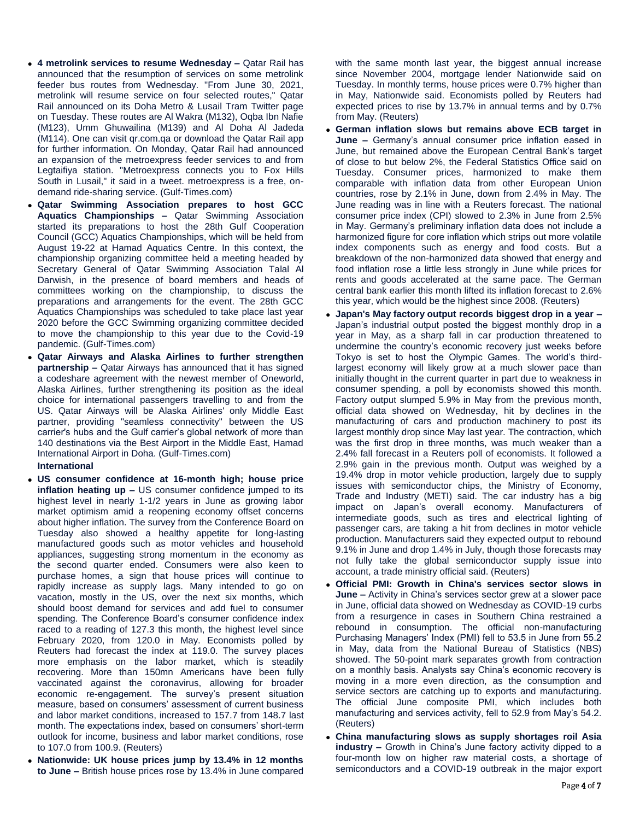- **4 metrolink services to resume Wednesday –** Qatar Rail has announced that the resumption of services on some metrolink feeder bus routes from Wednesday. "From June 30, 2021, metrolink will resume service on four selected routes," Qatar Rail announced on its Doha Metro & Lusail Tram Twitter page on Tuesday. These routes are Al Wakra (M132), Oqba Ibn Nafie (M123), Umm Ghuwailina (M139) and Al Doha Al Jadeda (M114). One can visit qr.com.qa or download the Qatar Rail app for further information. On Monday, Qatar Rail had announced an expansion of the metroexpress feeder services to and from Legtaifiya station. "Metroexpress connects you to Fox Hills South in Lusail," it said in a tweet. metroexpress is a free, ondemand ride-sharing service. (Gulf-Times.com)
- **Qatar Swimming Association prepares to host GCC Aquatics Championships –** Qatar Swimming Association started its preparations to host the 28th Gulf Cooperation Council (GCC) Aquatics Championships, which will be held from August 19-22 at Hamad Aquatics Centre. In this context, the championship organizing committee held a meeting headed by Secretary General of Qatar Swimming Association Talal Al Darwish, in the presence of board members and heads of committees working on the championship, to discuss the preparations and arrangements for the event. The 28th GCC Aquatics Championships was scheduled to take place last year 2020 before the GCC Swimming organizing committee decided to move the championship to this year due to the Covid-19 pandemic. (Gulf-Times.com)
- **Qatar Airways and Alaska Airlines to further strengthen partnership –** Qatar Airways has announced that it has signed a codeshare agreement with the newest member of Oneworld, Alaska Airlines, further strengthening its position as the ideal choice for international passengers travelling to and from the US. Qatar Airways will be Alaska Airlines' only Middle East partner, providing "seamless connectivity" between the US carrier's hubs and the Gulf carrier's global network of more than 140 destinations via the Best Airport in the Middle East, Hamad International Airport in Doha. (Gulf-Times.com)

### **International**

- **US consumer confidence at 16-month high; house price inflation heating up –** US consumer confidence jumped to its highest level in nearly 1-1/2 years in June as growing labor market optimism amid a reopening economy offset concerns about higher inflation. The survey from the Conference Board on Tuesday also showed a healthy appetite for long-lasting manufactured goods such as motor vehicles and household appliances, suggesting strong momentum in the economy as the second quarter ended. Consumers were also keen to purchase homes, a sign that house prices will continue to rapidly increase as supply lags. Many intended to go on vacation, mostly in the US, over the next six months, which should boost demand for services and add fuel to consumer spending. The Conference Board's consumer confidence index raced to a reading of 127.3 this month, the highest level since February 2020, from 120.0 in May. Economists polled by Reuters had forecast the index at 119.0. The survey places more emphasis on the labor market, which is steadily recovering. More than 150mn Americans have been fully vaccinated against the coronavirus, allowing for broader economic re-engagement. The survey's present situation measure, based on consumers' assessment of current business and labor market conditions, increased to 157.7 from 148.7 last month. The expectations index, based on consumers' short-term outlook for income, business and labor market conditions, rose to 107.0 from 100.9. (Reuters)
- **Nationwide: UK house prices jump by 13.4% in 12 months to June –** British house prices rose by 13.4% in June compared

with the same month last year, the biggest annual increase since November 2004, mortgage lender Nationwide said on Tuesday. In monthly terms, house prices were 0.7% higher than in May, Nationwide said. Economists polled by Reuters had expected prices to rise by 13.7% in annual terms and by 0.7% from May. (Reuters)

- **German inflation slows but remains above ECB target in June –** Germany's annual consumer price inflation eased in June, but remained above the European Central Bank's target of close to but below 2%, the Federal Statistics Office said on Tuesday. Consumer prices, harmonized to make them comparable with inflation data from other European Union countries, rose by 2.1% in June, down from 2.4% in May. The June reading was in line with a Reuters forecast. The national consumer price index (CPI) slowed to 2.3% in June from 2.5% in May. Germany's preliminary inflation data does not include a harmonized figure for core inflation which strips out more volatile index components such as energy and food costs. But a breakdown of the non-harmonized data showed that energy and food inflation rose a little less strongly in June while prices for rents and goods accelerated at the same pace. The German central bank earlier this month lifted its inflation forecast to 2.6% this year, which would be the highest since 2008. (Reuters)
- **Japan's May factory output records biggest drop in a year –** Japan's industrial output posted the biggest monthly drop in a year in May, as a sharp fall in car production threatened to undermine the country's economic recovery just weeks before Tokyo is set to host the Olympic Games. The world's thirdlargest economy will likely grow at a much slower pace than initially thought in the current quarter in part due to weakness in consumer spending, a poll by economists showed this month. Factory output slumped 5.9% in May from the previous month, official data showed on Wednesday, hit by declines in the manufacturing of cars and production machinery to post its largest monthly drop since May last year. The contraction, which was the first drop in three months, was much weaker than a 2.4% fall forecast in a Reuters poll of economists. It followed a 2.9% gain in the previous month. Output was weighed by a 19.4% drop in motor vehicle production, largely due to supply issues with semiconductor chips, the Ministry of Economy, Trade and Industry (METI) said. The car industry has a big impact on Japan's overall economy. Manufacturers of intermediate goods, such as tires and electrical lighting of passenger cars, are taking a hit from declines in motor vehicle production. Manufacturers said they expected output to rebound 9.1% in June and drop 1.4% in July, though those forecasts may not fully take the global semiconductor supply issue into account, a trade ministry official said. (Reuters)
- **Official PMI: Growth in China's services sector slows in June –** Activity in China's services sector grew at a slower pace in June, official data showed on Wednesday as COVID-19 curbs from a resurgence in cases in Southern China restrained a rebound in consumption. The official non-manufacturing Purchasing Managers' Index (PMI) fell to 53.5 in June from 55.2 in May, data from the National Bureau of Statistics (NBS) showed. The 50-point mark separates growth from contraction on a monthly basis. Analysts say China's economic recovery is moving in a more even direction, as the consumption and service sectors are catching up to exports and manufacturing. The official June composite PMI, which includes both manufacturing and services activity, fell to 52.9 from May's 54.2. (Reuters)
- **China manufacturing slows as supply shortages roil Asia industry –** Growth in China's June factory activity dipped to a four-month low on higher raw material costs, a shortage of semiconductors and a COVID-19 outbreak in the major export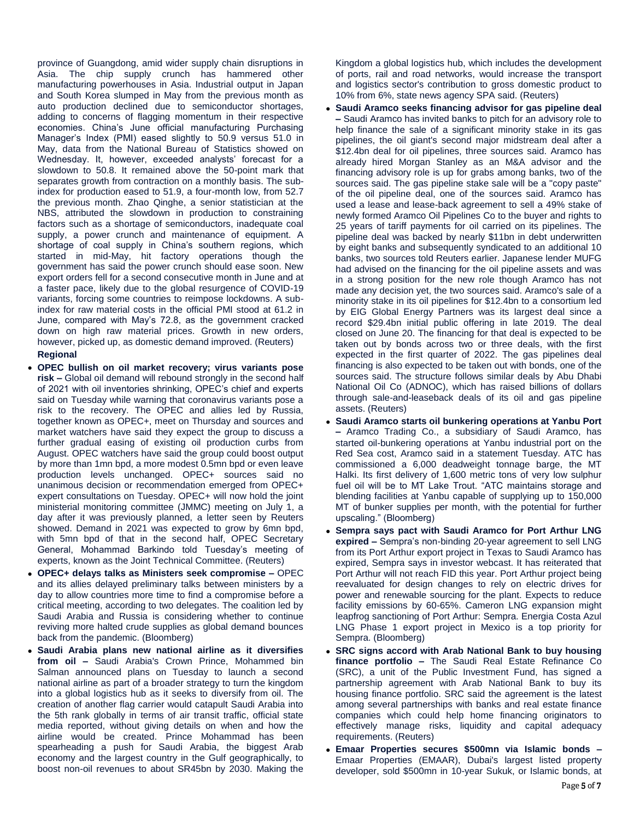province of Guangdong, amid wider supply chain disruptions in Asia. The chip supply crunch has hammered other manufacturing powerhouses in Asia. Industrial output in Japan and South Korea slumped in May from the previous month as auto production declined due to semiconductor shortages, adding to concerns of flagging momentum in their respective economies. China's June official manufacturing Purchasing Manager's Index (PMI) eased slightly to 50.9 versus 51.0 in May, data from the National Bureau of Statistics showed on Wednesday. It, however, exceeded analysts' forecast for a slowdown to 50.8. It remained above the 50-point mark that separates growth from contraction on a monthly basis. The subindex for production eased to 51.9, a four-month low, from 52.7 the previous month. Zhao Qinghe, a senior statistician at the NBS, attributed the slowdown in production to constraining factors such as a shortage of semiconductors, inadequate coal supply, a power crunch and maintenance of equipment. A shortage of coal supply in China's southern regions, which started in mid-May, hit factory operations though the government has said the power crunch should ease soon. New export orders fell for a second consecutive month in June and at a faster pace, likely due to the global resurgence of COVID-19 variants, forcing some countries to reimpose lockdowns. A subindex for raw material costs in the official PMI stood at 61.2 in June, compared with May's 72.8, as the government cracked down on high raw material prices. Growth in new orders, however, picked up, as domestic demand improved. (Reuters)

### **Regional**

- **OPEC bullish on oil market recovery; virus variants pose risk –** Global oil demand will rebound strongly in the second half of 2021 with oil inventories shrinking, OPEC's chief and experts said on Tuesday while warning that coronavirus variants pose a risk to the recovery. The OPEC and allies led by Russia, together known as OPEC+, meet on Thursday and sources and market watchers have said they expect the group to discuss a further gradual easing of existing oil production curbs from August. OPEC watchers have said the group could boost output by more than 1mn bpd, a more modest 0.5mn bpd or even leave production levels unchanged. OPEC+ sources said no unanimous decision or recommendation emerged from OPEC+ expert consultations on Tuesday. OPEC+ will now hold the joint ministerial monitoring committee (JMMC) meeting on July 1, a day after it was previously planned, a letter seen by Reuters showed. Demand in 2021 was expected to grow by 6mn bpd, with 5mn bpd of that in the second half, OPEC Secretary General, Mohammad Barkindo told Tuesday's meeting of experts, known as the Joint Technical Committee. (Reuters)
- **OPEC+ delays talks as Ministers seek compromise –** OPEC and its allies delayed preliminary talks between ministers by a day to allow countries more time to find a compromise before a critical meeting, according to two delegates. The coalition led by Saudi Arabia and Russia is considering whether to continue reviving more halted crude supplies as global demand bounces back from the pandemic. (Bloomberg)
- **Saudi Arabia plans new national airline as it diversifies from oil –** Saudi Arabia's Crown Prince, Mohammed bin Salman announced plans on Tuesday to launch a second national airline as part of a broader strategy to turn the kingdom into a global logistics hub as it seeks to diversify from oil. The creation of another flag carrier would catapult Saudi Arabia into the 5th rank globally in terms of air transit traffic, official state media reported, without giving details on when and how the airline would be created. Prince Mohammad has been spearheading a push for Saudi Arabia, the biggest Arab economy and the largest country in the Gulf geographically, to boost non-oil revenues to about SR45bn by 2030. Making the

Kingdom a global logistics hub, which includes the development of ports, rail and road networks, would increase the transport and logistics sector's contribution to gross domestic product to 10% from 6%, state news agency SPA said. (Reuters)

- **Saudi Aramco seeks financing advisor for gas pipeline deal –** Saudi Aramco has invited banks to pitch for an advisory role to help finance the sale of a significant minority stake in its gas pipelines, the oil giant's second major midstream deal after a \$12.4bn deal for oil pipelines, three sources said. Aramco has already hired Morgan Stanley as an M&A advisor and the financing advisory role is up for grabs among banks, two of the sources said. The gas pipeline stake sale will be a "copy paste" of the oil pipeline deal, one of the sources said. Aramco has used a lease and lease-back agreement to sell a 49% stake of newly formed Aramco Oil Pipelines Co to the buyer and rights to 25 years of tariff payments for oil carried on its pipelines. The pipeline deal was backed by nearly \$11bn in debt underwritten by eight banks and subsequently syndicated to an additional 10 banks, two sources told Reuters earlier. Japanese lender MUFG had advised on the financing for the oil pipeline assets and was in a strong position for the new role though Aramco has not made any decision yet, the two sources said. Aramco's sale of a minority stake in its oil pipelines for \$12.4bn to a consortium led by EIG Global Energy Partners was its largest deal since a record \$29.4bn initial public offering in late 2019. The deal closed on June 20. The financing for that deal is expected to be taken out by bonds across two or three deals, with the first expected in the first quarter of 2022. The gas pipelines deal financing is also expected to be taken out with bonds, one of the sources said. The structure follows similar deals by Abu Dhabi National Oil Co (ADNOC), which has raised billions of dollars through sale-and-leaseback deals of its oil and gas pipeline assets. (Reuters)
- **Saudi Aramco starts oil bunkering operations at Yanbu Port –** Aramco Trading Co., a subsidiary of Saudi Aramco, has started oil-bunkering operations at Yanbu industrial port on the Red Sea cost, Aramco said in a statement Tuesday. ATC has commissioned a 6,000 deadweight tonnage barge, the MT Halki. Its first delivery of 1,600 metric tons of very low sulphur fuel oil will be to MT Lake Trout. "ATC maintains storage and blending facilities at Yanbu capable of supplying up to 150,000 MT of bunker supplies per month, with the potential for further upscaling." (Bloomberg)
- **Sempra says pact with Saudi Aramco for Port Arthur LNG expired –** Sempra's non-binding 20-year agreement to sell LNG from its Port Arthur export project in Texas to Saudi Aramco has expired, Sempra says in investor webcast. It has reiterated that Port Arthur will not reach FID this year. Port Arthur project being reevaluated for design changes to rely on electric drives for power and renewable sourcing for the plant. Expects to reduce facility emissions by 60-65%. Cameron LNG expansion might leapfrog sanctioning of Port Arthur: Sempra. Energia Costa Azul LNG Phase 1 export project in Mexico is a top priority for Sempra. (Bloomberg)
- **SRC signs accord with Arab National Bank to buy housing finance portfolio –** The Saudi Real Estate Refinance Co (SRC), a unit of the Public Investment Fund, has signed a partnership agreement with Arab National Bank to buy its housing finance portfolio. SRC said the agreement is the latest among several partnerships with banks and real estate finance companies which could help home financing originators to effectively manage risks, liquidity and capital adequacy requirements. (Reuters)
- **Emaar Properties secures \$500mn via Islamic bonds –** Emaar Properties (EMAAR), Dubai's largest listed property developer, sold \$500mn in 10-year Sukuk, or Islamic bonds, at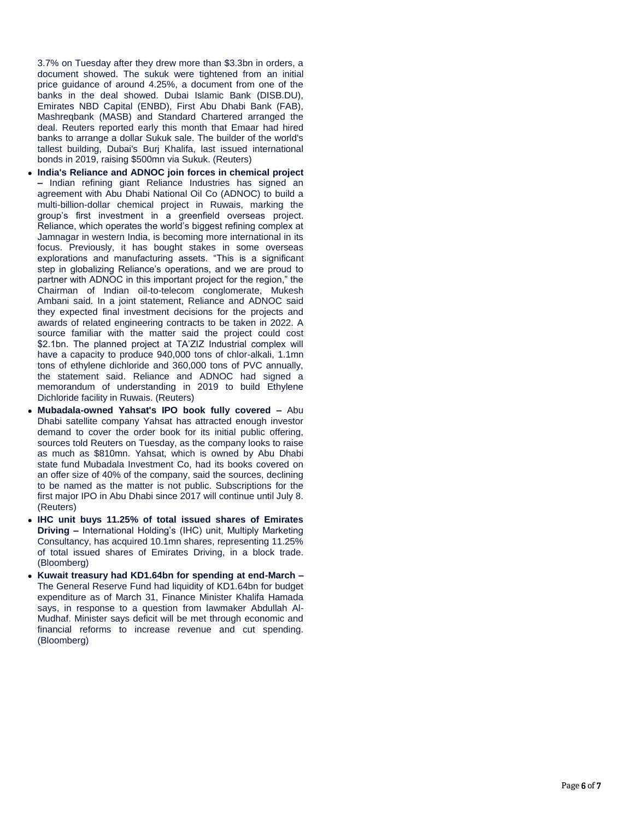3.7% on Tuesday after they drew more than \$3.3bn in orders, a document showed. The sukuk were tightened from an initial price guidance of around 4.25%, a document from one of the banks in the deal showed. Dubai Islamic Bank (DISB.DU), Emirates NBD Capital (ENBD), First Abu Dhabi Bank (FAB), Mashreqbank (MASB) and Standard Chartered arranged the deal. Reuters reported early this month that Emaar had hired banks to arrange a dollar Sukuk sale. The builder of the world's tallest building, Dubai's Burj Khalifa, last issued international bonds in 2019, raising \$500mn via Sukuk. (Reuters)

- **India's Reliance and ADNOC join forces in chemical project –** Indian refining giant Reliance Industries has signed an agreement with Abu Dhabi National Oil Co (ADNOC) to build a multi -billion -dollar chemical project in Ruwais, marking the group's first investment in a greenfield overseas project. Reliance, which operates the world's biggest refining complex at Jamnagar in western India, is becoming more international in its focus. Previously, it has bought stakes in some overseas explorations and manufacturing assets. "This is a significant step in globalizing Reliance's operations, and we are proud to partner with ADNOC in this important project for the region," the Chairman of Indian oil -to -telecom conglomerate, Mukesh Ambani said. In a joint statement, Reliance and ADNOC said they expected final investment decisions for the projects and awards of related engineering contracts to be taken in 2022. A source familiar with the matter said the project could cost \$2.1bn. The planned project at TA'ZIZ Industrial complex will have a capacity to produce 940,000 tons of chlor -alkali, 1.1mn tons of ethylene dichloride and 360,000 tons of PVC annually, the statement said. Reliance and ADNOC had signed a memorandum of understanding in 2019 to build Ethylene Dichloride facility in Ruwais. (Reuters)
- **Mubadala-owned Yahsat's IPO book fully covered Abu** Dhabi satellite company Yahsat has attracted enough investor demand to cover the order book for its initial public offering, sources told Reuters on Tuesday, as the company looks to raise as much as \$810mn. Yahsat, which is owned by Abu Dhabi state fund Mubadala Investment Co, had its books covered on an offer size of 40% of the company, said the sources, declining to be named as the matter is not public. Subscriptions for the first major IPO in Abu Dhabi since 2017 will continue until July 8. (Reuters)
- **IHC unit buys 11.25% of total issued shares of Emirates Driving –** International Holding's (IHC) unit, Multiply Marketing Consultancy, has acquired 10.1mn shares, representing 11.25% of total issued shares of Emirates Driving, in a block trade. (Bloomberg)
- **Kuwait treasury had KD1.64bn for spending at end -March –** The General Reserve Fund had liquidity of KD1.64bn for budget expenditure as of March 31, Finance Minister Khalifa Hamada says, in response to a question from lawmaker Abdullah Al - Mudhaf. Minister says deficit will be met through economic and financial reforms to increase revenue and cut spending. (Bloomberg)